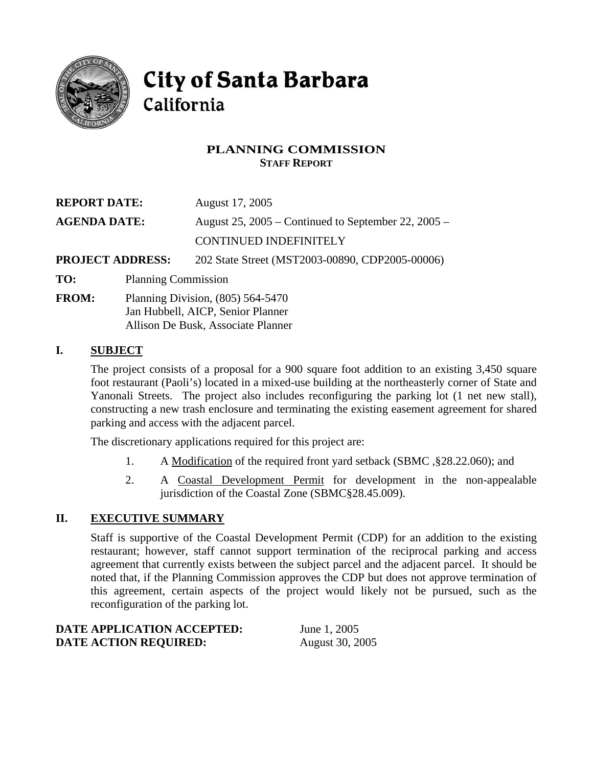

# **City of Santa Barbara** California

## **PLANNING COMMISSION STAFF REPORT**

| <b>REPORT DATE:</b>     | August 17, 2005                                       |
|-------------------------|-------------------------------------------------------|
| <b>AGENDA DATE:</b>     | August 25, $2005$ – Continued to September 22, 2005 – |
|                         | <b>CONTINUED INDEFINITELY</b>                         |
| <b>PROJECT ADDRESS:</b> | 202 State Street (MST2003-00890, CDP2005-00006)       |

- **TO:** Planning Commission
- **FROM:** Planning Division, (805) 564-5470 Jan Hubbell, AICP, Senior Planner Allison De Busk, Associate Planner

## **I. SUBJECT**

The project consists of a proposal for a 900 square foot addition to an existing 3,450 square foot restaurant (Paoli's) located in a mixed-use building at the northeasterly corner of State and Yanonali Streets. The project also includes reconfiguring the parking lot (1 net new stall), constructing a new trash enclosure and terminating the existing easement agreement for shared parking and access with the adjacent parcel.

The discretionary applications required for this project are:

- 1. A Modification of the required front yard setback (SBMC ,§28.22.060); and
- 2. A Coastal Development Permit for development in the non-appealable jurisdiction of the Coastal Zone (SBMC§28.45.009).

## **II. EXECUTIVE SUMMARY**

Staff is supportive of the Coastal Development Permit (CDP) for an addition to the existing restaurant; however, staff cannot support termination of the reciprocal parking and access agreement that currently exists between the subject parcel and the adjacent parcel. It should be noted that, if the Planning Commission approves the CDP but does not approve termination of this agreement, certain aspects of the project would likely not be pursued, such as the reconfiguration of the parking lot.

| DATE APPLICATION ACCEPTED:   | June 1, 2005           |
|------------------------------|------------------------|
| <b>DATE ACTION REQUIRED:</b> | <b>August</b> 30, 2005 |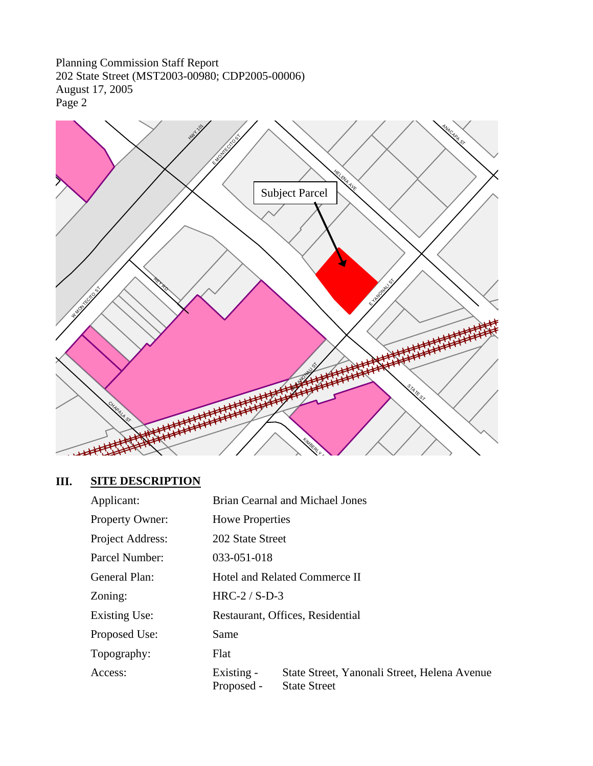

# **III. SITE DESCRIPTION**

| Applicant:             |                          | <b>Brian Cearnal and Michael Jones</b>                              |
|------------------------|--------------------------|---------------------------------------------------------------------|
| <b>Property Owner:</b> | <b>Howe Properties</b>   |                                                                     |
| Project Address:       | 202 State Street         |                                                                     |
| Parcel Number:         | 033-051-018              |                                                                     |
| General Plan:          |                          | Hotel and Related Commerce II                                       |
| Zoning:                | $HRC-2 / S-D-3$          |                                                                     |
| Existing Use:          |                          | Restaurant, Offices, Residential                                    |
| Proposed Use:          | Same                     |                                                                     |
| Topography:            | Flat                     |                                                                     |
| Access:                | Existing -<br>Proposed - | State Street, Yanonali Street, Helena Avenue<br><b>State Street</b> |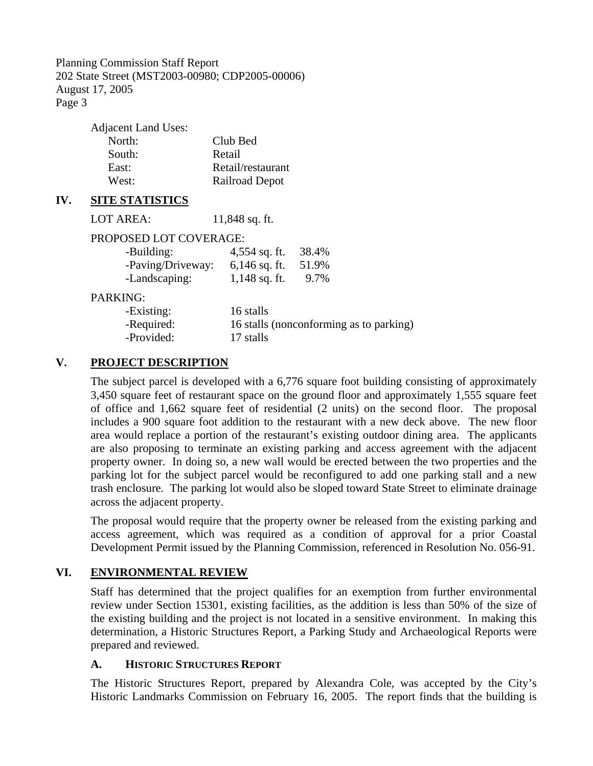| <b>Adjacent Land Uses:</b> |                   |
|----------------------------|-------------------|
| North:                     | Club Bed          |
| South:                     | Retail            |
| East:                      | Retail/restaurant |
| West:                      | Railroad Depot    |
|                            |                   |

#### **IV. SITE STATISTICS**

LOT AREA: 11,848 sq. ft.

#### PROPOSED LOT COVERAGE:

| -Building:        | $4,554$ sq. ft. | 38.4% |
|-------------------|-----------------|-------|
| -Paving/Driveway: | $6,146$ sq. ft. | 51.9% |
| -Landscaping:     | $1,148$ sq. ft. | 9.7%  |

#### PARKING:

| -Existing: | 16 stalls                               |
|------------|-----------------------------------------|
| -Required: | 16 stalls (nonconforming as to parking) |
| -Provided: | 17 stalls                               |

## **V. PROJECT DESCRIPTION**

The subject parcel is developed with a 6,776 square foot building consisting of approximately 3,450 square feet of restaurant space on the ground floor and approximately 1,555 square feet of office and 1,662 square feet of residential (2 units) on the second floor. The proposal includes a 900 square foot addition to the restaurant with a new deck above. The new floor area would replace a portion of the restaurant's existing outdoor dining area. The applicants are also proposing to terminate an existing parking and access agreement with the adjacent property owner. In doing so, a new wall would be erected between the two properties and the parking lot for the subject parcel would be reconfigured to add one parking stall and a new trash enclosure. The parking lot would also be sloped toward State Street to eliminate drainage across the adjacent property.

The proposal would require that the property owner be released from the existing parking and access agreement, which was required as a condition of approval for a prior Coastal Development Permit issued by the Planning Commission, referenced in Resolution No. 056-91.

## **VI. ENVIRONMENTAL REVIEW**

Staff has determined that the project qualifies for an exemption from further environmental review under Section 15301, existing facilities, as the addition is less than 50% of the size of the existing building and the project is not located in a sensitive environment. In making this determination, a Historic Structures Report, a Parking Study and Archaeological Reports were prepared and reviewed.

#### **A. HISTORIC STRUCTURES REPORT**

The Historic Structures Report, prepared by Alexandra Cole, was accepted by the City's Historic Landmarks Commission on February 16, 2005. The report finds that the building is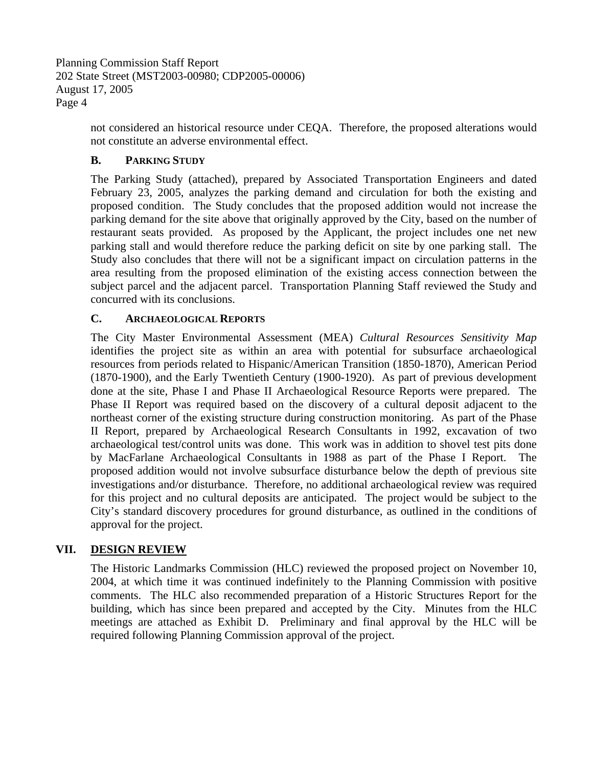> not considered an historical resource under CEQA. Therefore, the proposed alterations would not constitute an adverse environmental effect.

# **B. PARKING STUDY**

The Parking Study (attached), prepared by Associated Transportation Engineers and dated February 23, 2005, analyzes the parking demand and circulation for both the existing and proposed condition. The Study concludes that the proposed addition would not increase the parking demand for the site above that originally approved by the City, based on the number of restaurant seats provided. As proposed by the Applicant, the project includes one net new parking stall and would therefore reduce the parking deficit on site by one parking stall. The Study also concludes that there will not be a significant impact on circulation patterns in the area resulting from the proposed elimination of the existing access connection between the subject parcel and the adjacent parcel. Transportation Planning Staff reviewed the Study and concurred with its conclusions.

## **C. ARCHAEOLOGICAL REPORTS**

The City Master Environmental Assessment (MEA) *Cultural Resources Sensitivity Map* identifies the project site as within an area with potential for subsurface archaeological resources from periods related to Hispanic/American Transition (1850-1870), American Period (1870-1900), and the Early Twentieth Century (1900-1920). As part of previous development done at the site, Phase I and Phase II Archaeological Resource Reports were prepared. The Phase II Report was required based on the discovery of a cultural deposit adjacent to the northeast corner of the existing structure during construction monitoring. As part of the Phase II Report, prepared by Archaeological Research Consultants in 1992, excavation of two archaeological test/control units was done. This work was in addition to shovel test pits done by MacFarlane Archaeological Consultants in 1988 as part of the Phase I Report. The proposed addition would not involve subsurface disturbance below the depth of previous site investigations and/or disturbance. Therefore, no additional archaeological review was required for this project and no cultural deposits are anticipated. The project would be subject to the City's standard discovery procedures for ground disturbance, as outlined in the conditions of approval for the project.

## **VII. DESIGN REVIEW**

The Historic Landmarks Commission (HLC) reviewed the proposed project on November 10, 2004, at which time it was continued indefinitely to the Planning Commission with positive comments. The HLC also recommended preparation of a Historic Structures Report for the building, which has since been prepared and accepted by the City. Minutes from the HLC meetings are attached as Exhibit D. Preliminary and final approval by the HLC will be required following Planning Commission approval of the project.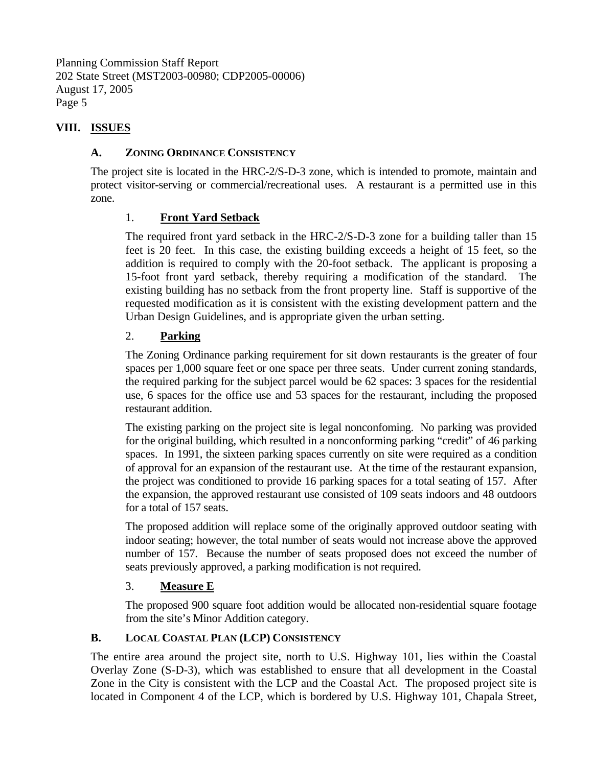## **VIII. ISSUES**

#### **A. ZONING ORDINANCE CONSISTENCY**

The project site is located in the HRC-2/S-D-3 zone, which is intended to promote, maintain and protect visitor-serving or commercial/recreational uses. A restaurant is a permitted use in this zone.

## 1. **Front Yard Setback**

The required front yard setback in the HRC-2/S-D-3 zone for a building taller than 15 feet is 20 feet. In this case, the existing building exceeds a height of 15 feet, so the addition is required to comply with the 20-foot setback. The applicant is proposing a 15-foot front yard setback, thereby requiring a modification of the standard. The existing building has no setback from the front property line. Staff is supportive of the requested modification as it is consistent with the existing development pattern and the Urban Design Guidelines, and is appropriate given the urban setting.

## 2. **Parking**

The Zoning Ordinance parking requirement for sit down restaurants is the greater of four spaces per 1,000 square feet or one space per three seats. Under current zoning standards, the required parking for the subject parcel would be 62 spaces: 3 spaces for the residential use, 6 spaces for the office use and 53 spaces for the restaurant, including the proposed restaurant addition.

The existing parking on the project site is legal nonconfoming. No parking was provided for the original building, which resulted in a nonconforming parking "credit" of 46 parking spaces. In 1991, the sixteen parking spaces currently on site were required as a condition of approval for an expansion of the restaurant use. At the time of the restaurant expansion, the project was conditioned to provide 16 parking spaces for a total seating of 157. After the expansion, the approved restaurant use consisted of 109 seats indoors and 48 outdoors for a total of 157 seats.

The proposed addition will replace some of the originally approved outdoor seating with indoor seating; however, the total number of seats would not increase above the approved number of 157. Because the number of seats proposed does not exceed the number of seats previously approved, a parking modification is not required.

## 3. **Measure E**

The proposed 900 square foot addition would be allocated non-residential square footage from the site's Minor Addition category.

## **B. LOCAL COASTAL PLAN (LCP) CONSISTENCY**

The entire area around the project site, north to U.S. Highway 101, lies within the Coastal Overlay Zone (S-D-3), which was established to ensure that all development in the Coastal Zone in the City is consistent with the LCP and the Coastal Act. The proposed project site is located in Component 4 of the LCP, which is bordered by U.S. Highway 101, Chapala Street,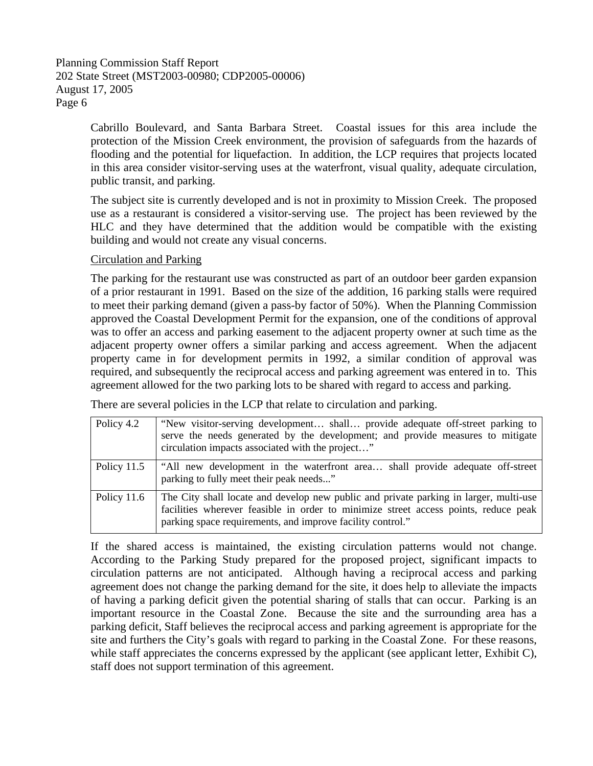Cabrillo Boulevard, and Santa Barbara Street. Coastal issues for this area include the protection of the Mission Creek environment, the provision of safeguards from the hazards of flooding and the potential for liquefaction. In addition, the LCP requires that projects located in this area consider visitor-serving uses at the waterfront, visual quality, adequate circulation, public transit, and parking.

The subject site is currently developed and is not in proximity to Mission Creek. The proposed use as a restaurant is considered a visitor-serving use. The project has been reviewed by the HLC and they have determined that the addition would be compatible with the existing building and would not create any visual concerns.

#### Circulation and Parking

The parking for the restaurant use was constructed as part of an outdoor beer garden expansion of a prior restaurant in 1991. Based on the size of the addition, 16 parking stalls were required to meet their parking demand (given a pass-by factor of 50%). When the Planning Commission approved the Coastal Development Permit for the expansion, one of the conditions of approval was to offer an access and parking easement to the adjacent property owner at such time as the adjacent property owner offers a similar parking and access agreement. When the adjacent property came in for development permits in 1992, a similar condition of approval was required, and subsequently the reciprocal access and parking agreement was entered in to. This agreement allowed for the two parking lots to be shared with regard to access and parking.

There are several policies in the LCP that relate to circulation and parking.

| Policy 4.2    | "New visitor-serving development shall provide adequate off-street parking to<br>serve the needs generated by the development; and provide measures to mitigate<br>circulation impacts associated with the project"                        |
|---------------|--------------------------------------------------------------------------------------------------------------------------------------------------------------------------------------------------------------------------------------------|
| Policy 11.5   | "All new development in the waterfront area shall provide adequate off-street<br>parking to fully meet their peak needs"                                                                                                                   |
| Policy $11.6$ | The City shall locate and develop new public and private parking in larger, multi-use<br>facilities wherever feasible in order to minimize street access points, reduce peak<br>parking space requirements, and improve facility control." |

If the shared access is maintained, the existing circulation patterns would not change. According to the Parking Study prepared for the proposed project, significant impacts to circulation patterns are not anticipated. Although having a reciprocal access and parking agreement does not change the parking demand for the site, it does help to alleviate the impacts of having a parking deficit given the potential sharing of stalls that can occur. Parking is an important resource in the Coastal Zone. Because the site and the surrounding area has a parking deficit, Staff believes the reciprocal access and parking agreement is appropriate for the site and furthers the City's goals with regard to parking in the Coastal Zone. For these reasons, while staff appreciates the concerns expressed by the applicant (see applicant letter, Exhibit C), staff does not support termination of this agreement.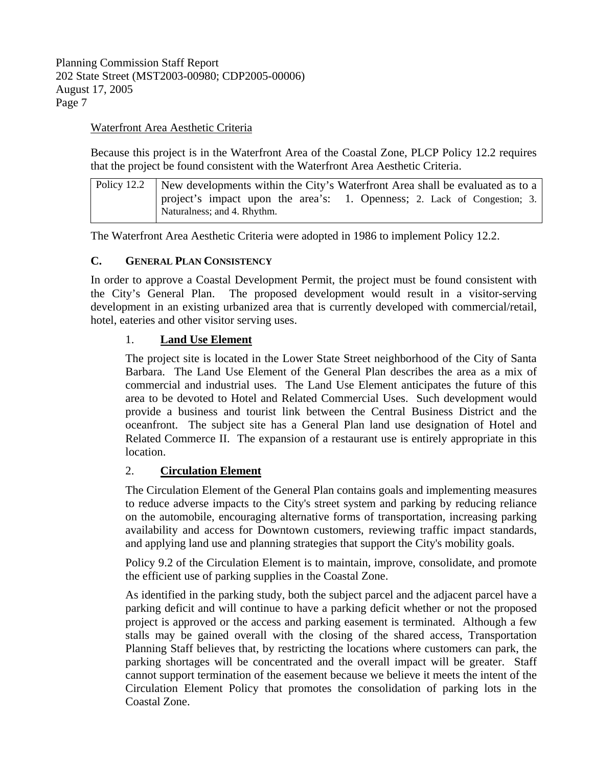#### Waterfront Area Aesthetic Criteria

Because this project is in the Waterfront Area of the Coastal Zone, PLCP Policy 12.2 requires that the project be found consistent with the Waterfront Area Aesthetic Criteria.

| Policy 12.2 New developments within the City's Waterfront Area shall be evaluated as to a               |
|---------------------------------------------------------------------------------------------------------|
| project's impact upon the area's: 1. Openness; 2. Lack of Congestion; 3.<br>Naturalness; and 4. Rhythm. |

The Waterfront Area Aesthetic Criteria were adopted in 1986 to implement Policy 12.2.

#### **C. GENERAL PLAN CONSISTENCY**

In order to approve a Coastal Development Permit, the project must be found consistent with the City's General Plan. The proposed development would result in a visitor-serving development in an existing urbanized area that is currently developed with commercial/retail, hotel, eateries and other visitor serving uses.

#### 1. **Land Use Element**

The project site is located in the Lower State Street neighborhood of the City of Santa Barbara. The Land Use Element of the General Plan describes the area as a mix of commercial and industrial uses. The Land Use Element anticipates the future of this area to be devoted to Hotel and Related Commercial Uses. Such development would provide a business and tourist link between the Central Business District and the oceanfront. The subject site has a General Plan land use designation of Hotel and Related Commerce II. The expansion of a restaurant use is entirely appropriate in this location.

#### 2. **Circulation Element**

The Circulation Element of the General Plan contains goals and implementing measures to reduce adverse impacts to the City's street system and parking by reducing reliance on the automobile, encouraging alternative forms of transportation, increasing parking availability and access for Downtown customers, reviewing traffic impact standards, and applying land use and planning strategies that support the City's mobility goals.

Policy 9.2 of the Circulation Element is to maintain, improve, consolidate, and promote the efficient use of parking supplies in the Coastal Zone.

As identified in the parking study, both the subject parcel and the adjacent parcel have a parking deficit and will continue to have a parking deficit whether or not the proposed project is approved or the access and parking easement is terminated. Although a few stalls may be gained overall with the closing of the shared access, Transportation Planning Staff believes that, by restricting the locations where customers can park, the parking shortages will be concentrated and the overall impact will be greater. Staff cannot support termination of the easement because we believe it meets the intent of the Circulation Element Policy that promotes the consolidation of parking lots in the Coastal Zone.